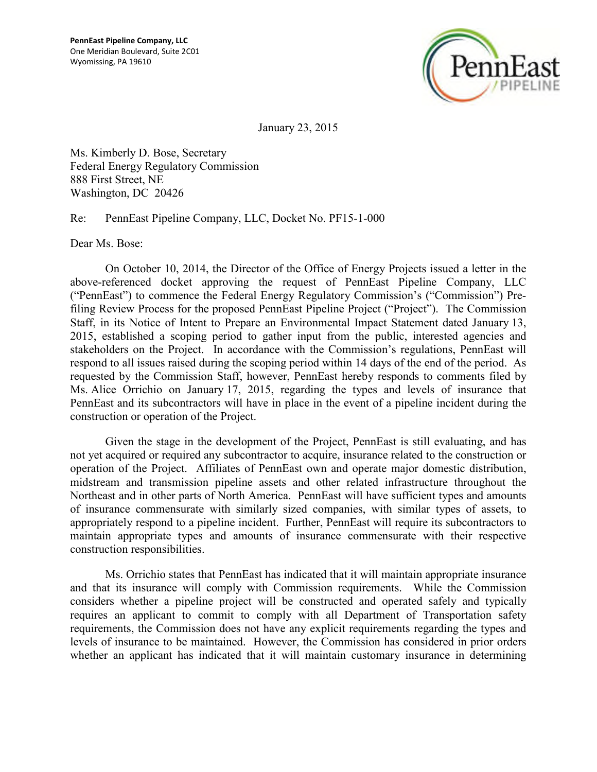

January 23, 2015

Ms. Kimberly D. Bose, Secretary Federal Energy Regulatory Commission 888 First Street, NE Washington, DC 20426

Re: PennEast Pipeline Company, LLC, Docket No. PF15-1-000

Dear Ms. Bose:

On October 10, 2014, the Director of the Office of Energy Projects issued a letter in the above-referenced docket approving the request of PennEast Pipeline Company, LLC ("PennEast") to commence the Federal Energy Regulatory Commission's ("Commission") Prefiling Review Process for the proposed PennEast Pipeline Project ("Project"). The Commission Staff, in its Notice of Intent to Prepare an Environmental Impact Statement dated January 13, 2015, established a scoping period to gather input from the public, interested agencies and stakeholders on the Project. In accordance with the Commission's regulations, PennEast will respond to all issues raised during the scoping period within 14 days of the end of the period. As requested by the Commission Staff, however, PennEast hereby responds to comments filed by Ms. Alice Orrichio on January 17, 2015, regarding the types and levels of insurance that PennEast and its subcontractors will have in place in the event of a pipeline incident during the construction or operation of the Project.

Given the stage in the development of the Project, PennEast is still evaluating, and has not yet acquired or required any subcontractor to acquire, insurance related to the construction or operation of the Project. Affiliates of PennEast own and operate major domestic distribution, midstream and transmission pipeline assets and other related infrastructure throughout the Northeast and in other parts of North America. PennEast will have sufficient types and amounts of insurance commensurate with similarly sized companies, with similar types of assets, to appropriately respond to a pipeline incident. Further, PennEast will require its subcontractors to maintain appropriate types and amounts of insurance commensurate with their respective construction responsibilities.

Ms. Orrichio states that PennEast has indicated that it will maintain appropriate insurance and that its insurance will comply with Commission requirements. While the Commission considers whether a pipeline project will be constructed and operated safely and typically requires an applicant to commit to comply with all Department of Transportation safety requirements, the Commission does not have any explicit requirements regarding the types and levels of insurance to be maintained. However, the Commission has considered in prior orders whether an applicant has indicated that it will maintain customary insurance in determining